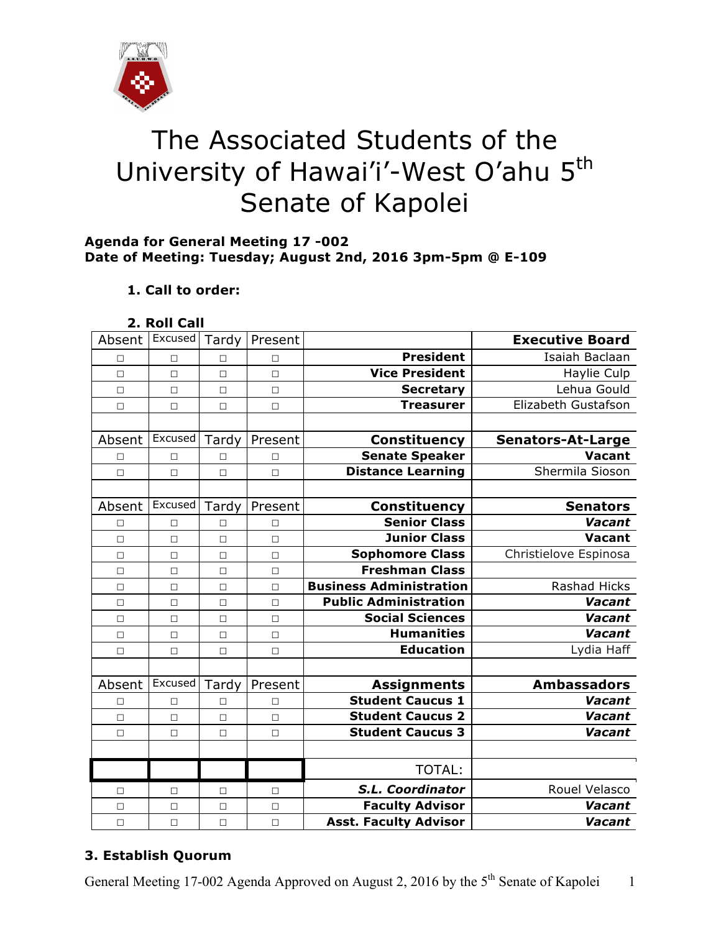

# The Associated Students of the University of Hawai'i'-West O'ahu 5<sup>th</sup> Senate of Kapolei

#### **Agenda for General Meeting 17 -002 Date of Meeting: Tuesday; August 2nd, 2016 3pm-5pm @ E-109**

### **1. Call to order:**

| 2. Roll Call |  |
|--------------|--|
|              |  |

| Absent | Excused | Tardy  | Present |                                | <b>Executive Board</b>   |
|--------|---------|--------|---------|--------------------------------|--------------------------|
| □      | $\Box$  | п      | $\Box$  | <b>President</b>               | Isaiah Baclaan           |
| $\Box$ | $\Box$  | $\Box$ | $\Box$  | <b>Vice President</b>          | Haylie Culp              |
| $\Box$ | $\Box$  | $\Box$ | $\Box$  | <b>Secretary</b>               | Lehua Gould              |
| $\Box$ | $\Box$  | $\Box$ | $\Box$  | <b>Treasurer</b>               | Elizabeth Gustafson      |
|        |         |        |         |                                |                          |
| Absent | Excused | Tardy  | Present | <b>Constituency</b>            | <b>Senators-At-Large</b> |
| П      | П       | п      | П       | <b>Senate Speaker</b>          | <b>Vacant</b>            |
| $\Box$ | $\Box$  | $\Box$ | $\Box$  | <b>Distance Learning</b>       | Shermila Sioson          |
|        |         |        |         |                                |                          |
| Absent | Excused | Tardy  | Present | <b>Constituency</b>            | <b>Senators</b>          |
| П      | $\Box$  | П      | П       | <b>Senior Class</b>            | Vacant                   |
| П      | $\Box$  | П      | $\Box$  | <b>Junior Class</b>            | Vacant                   |
| $\Box$ | $\Box$  | $\Box$ | $\Box$  | <b>Sophomore Class</b>         | Christielove Espinosa    |
| $\Box$ | $\Box$  | $\Box$ | $\Box$  | <b>Freshman Class</b>          |                          |
| $\Box$ | $\Box$  | $\Box$ | $\Box$  | <b>Business Administration</b> | Rashad Hicks             |
| $\Box$ | $\Box$  | $\Box$ | $\Box$  | <b>Public Administration</b>   | Vacant                   |
| $\Box$ | $\Box$  | $\Box$ | $\Box$  | <b>Social Sciences</b>         | Vacant                   |
| □      | $\Box$  | $\Box$ | $\Box$  | <b>Humanities</b>              | Vacant                   |
| $\Box$ | $\Box$  | $\Box$ | $\Box$  | <b>Education</b>               | Lydia Haff               |
|        |         |        |         |                                |                          |
| Absent | Excused | Tardy  | Present | <b>Assignments</b>             | <b>Ambassadors</b>       |
| $\Box$ | $\Box$  | $\Box$ | $\Box$  | <b>Student Caucus 1</b>        | Vacant                   |
| П      | $\Box$  | $\Box$ | $\Box$  | <b>Student Caucus 2</b>        | Vacant                   |
| $\Box$ | $\Box$  | $\Box$ | $\Box$  | <b>Student Caucus 3</b>        | Vacant                   |
|        |         |        |         |                                |                          |
|        |         |        |         | <b>TOTAL:</b>                  |                          |
| $\Box$ | $\Box$  | $\Box$ | $\Box$  | S.L. Coordinator               | Rouel Velasco            |
| $\Box$ | $\Box$  | $\Box$ | $\Box$  | <b>Faculty Advisor</b>         | Vacant                   |
| $\Box$ | $\Box$  | $\Box$ | $\Box$  | <b>Asst. Faculty Advisor</b>   | Vacant                   |

## **3. Establish Quorum**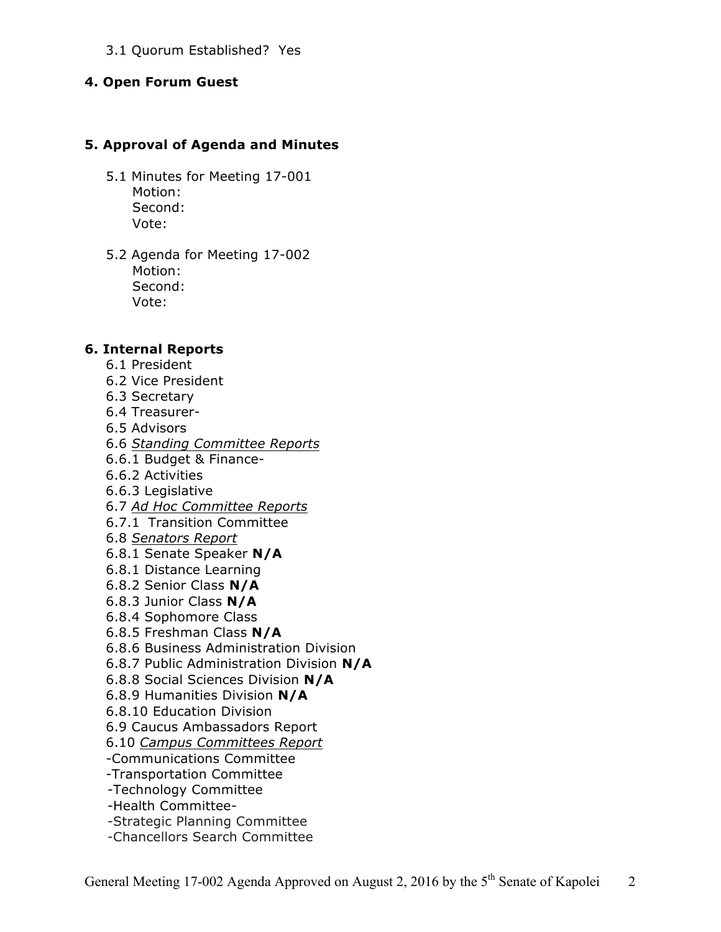#### 3.1 Quorum Established? Yes

#### **4. Open Forum Guest**

#### **5. Approval of Agenda and Minutes**

- 5.1 Minutes for Meeting 17-001 Motion: Second: Vote:
- 5.2 Agenda for Meeting 17-002 Motion: Second: Vote:

#### **6. Internal Reports**

- 6.1 President
- 6.2 Vice President
- 6.3 Secretary
- 6.4 Treasurer-
- 6.5 Advisors
- 6.6 *Standing Committee Reports*
- 6.6.1 Budget & Finance-
- 6.6.2 Activities
- 6.6.3 Legislative
- 6.7 *Ad Hoc Committee Reports*
- 6.7.1 Transition Committee
- 6.8 *Senators Report*
- 6.8.1 Senate Speaker **N/A**
- 6.8.1 Distance Learning
- 6.8.2 Senior Class **N/A**
- 6.8.3 Junior Class **N/A**
- 6.8.4 Sophomore Class
- 6.8.5 Freshman Class **N/A**
- 6.8.6 Business Administration Division
- 6.8.7 Public Administration Division **N/A**
- 6.8.8 Social Sciences Division **N/A**
- 6.8.9 Humanities Division **N/A**
- 6.8.10 Education Division
- 6.9 Caucus Ambassadors Report
- 6.10 *Campus Committees Report*
- -Communications Committee
- -Transportation Committee
- -Technology Committee
- -Health Committee-
- -Strategic Planning Committee
- -Chancellors Search Committee